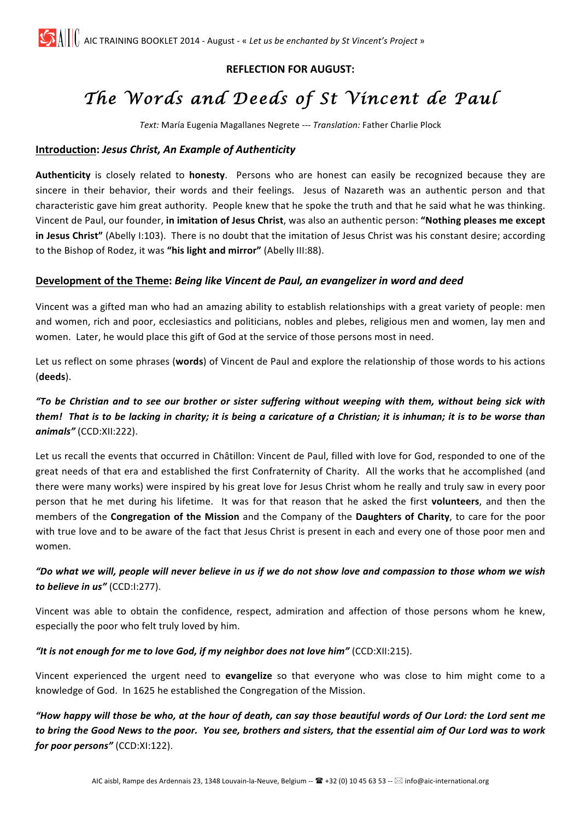# **REFLECTION FOR AUGUST:**

# *The Words and Deeds of St Vincent de Paul*

**Text:** María Eugenia Magallanes Negrete --- *Translation:* Father Charlie Plock

## **Introduction:** *Jesus Christ, An Example of Authenticity*

Authenticity is closely related to *honesty*. Persons who are honest can easily be recognized because they are sincere in their behavior, their words and their feelings. Jesus of Nazareth was an authentic person and that characteristic gave him great authority. People knew that he spoke the truth and that he said what he was thinking. Vincent de Paul, our founder, in imitation of Jesus Christ, was also an authentic person: "Nothing pleases me except **in Jesus Christ"** (Abelly I:103). There is no doubt that the imitation of Jesus Christ was his constant desire; according to the Bishop of Rodez, it was "his light and mirror" (Abelly III:88).

## Development of the Theme: Being like Vincent de Paul, an evangelizer in word and deed

Vincent was a gifted man who had an amazing ability to establish relationships with a great variety of people: men and women, rich and poor, ecclesiastics and politicians, nobles and plebes, religious men and women, lay men and women. Later, he would place this gift of God at the service of those persons most in need.

Let us reflect on some phrases (words) of Vincent de Paul and explore the relationship of those words to his actions (**deeds**).

## *"To be Christian and to see our brother or sister suffering without weeping with them, without being sick with them!* That is to be lacking in charity; it is being a caricature of a Christian; it is inhuman; it is to be worse than *animals"* (CCD:XII:222).

Let us recall the events that occurred in Châtillon: Vincent de Paul, filled with love for God, responded to one of the great needs of that era and established the first Confraternity of Charity. All the works that he accomplished (and there were many works) were inspired by his great love for Jesus Christ whom he really and truly saw in every poor person that he met during his lifetime. It was for that reason that he asked the first **volunteers**, and then the members of the **Congregation of the Mission** and the Company of the **Daughters of Charity**, to care for the poor with true love and to be aware of the fact that Jesus Christ is present in each and every one of those poor men and women.

## "Do what we will, people will never believe in us if we do not show love and compassion to those whom we wish to believe in us" (CCD:I:277).

Vincent was able to obtain the confidence, respect, admiration and affection of those persons whom he knew, especially the poor who felt truly loved by him.

#### "It is not enough for me to love God, if my neighbor does not love him" (CCD:XII:215).

Vincent experienced the urgent need to evangelize so that everyone who was close to him might come to a knowledge of God. In 1625 he established the Congregation of the Mission.

*"How happy will those be who, at the hour of death, can say those beautiful words of Our Lord: the Lord sent me*  to bring the Good News to the poor. You see, brothers and sisters, that the essential aim of Our Lord was to work *for poor persons"* (CCD:XI:122).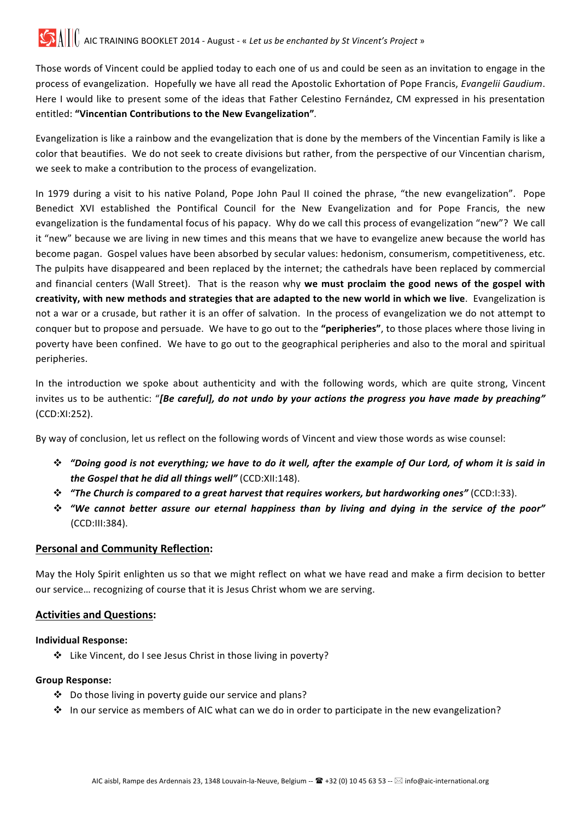Those words of Vincent could be applied today to each one of us and could be seen as an invitation to engage in the process of evangelization. Hopefully we have all read the Apostolic Exhortation of Pope Francis, *Evangelii Gaudium*. Here I would like to present some of the ideas that Father Celestino Fernández, CM expressed in his presentation entitled: **"Vincentian Contributions to the New Evangelization"***.*

Evangelization is like a rainbow and the evangelization that is done by the members of the Vincentian Family is like a color that beautifies. We do not seek to create divisions but rather, from the perspective of our Vincentian charism, we seek to make a contribution to the process of evangelization.

In 1979 during a visit to his native Poland, Pope John Paul II coined the phrase, "the new evangelization". Pope Benedict XVI established the Pontifical Council for the New Evangelization and for Pope Francis, the new evangelization is the fundamental focus of his papacy. Why do we call this process of evangelization "new"? We call it "new" because we are living in new times and this means that we have to evangelize anew because the world has become pagan. Gospel values have been absorbed by secular values: hedonism, consumerism, competitiveness, etc. The pulpits have disappeared and been replaced by the internet; the cathedrals have been replaced by commercial and financial centers (Wall Street). That is the reason why we must proclaim the good news of the gospel with creativity, with new methods and strategies that are adapted to the new world in which we live. Evangelization is not a war or a crusade, but rather it is an offer of salvation. In the process of evangelization we do not attempt to conquer but to propose and persuade. We have to go out to the "peripheries", to those places where those living in poverty have been confined. We have to go out to the geographical peripheries and also to the moral and spiritual peripheries.

In the introduction we spoke about authenticity and with the following words, which are quite strong, Vincent invites us to be authentic: "[Be careful], do not undo by your actions the progress you have made by preaching" (CCD:XI:252).

By way of conclusion, let us reflect on the following words of Vincent and view those words as wise counsel:

- **<sup>∗</sup>** "Doing good is not everything; we have to do it well, after the example of Our Lord, of whom it is said in *the Gospel that he did all things well"* (CCD:XII:148).
- $\dots$  "The Church is compared to a great harvest that requires workers, but hardworking ones" (CCD:I:33).
- **\*** "We cannot better assure our eternal happiness than by living and dying in the service of the poor" (CCD:III:384).

#### **Personal and Community Reflection:**

May the Holy Spirit enlighten us so that we might reflect on what we have read and make a firm decision to better our service... recognizing of course that it is Jesus Christ whom we are serving.

## **Activities and Questions:**

#### **Individual Response:**

❖ Like Vincent, do I see Jesus Christ in those living in poverty?

#### **Group Response:**

- $\cdot$  Do those living in poverty guide our service and plans?
- $\cdot$  In our service as members of AIC what can we do in order to participate in the new evangelization?